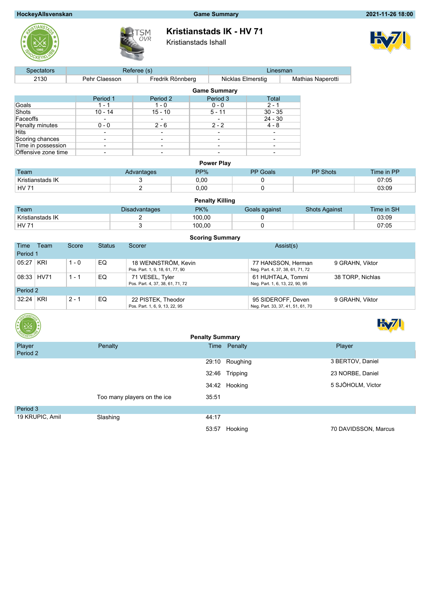# **HockeyAllsvenskan Game Summary 2021-11-26 18:00**





**Kristianstads IK - HV 71**

Kristianstads Ishall



| <b>Spectators</b>   |               | Referee (s)                  |                     | Linesman  |                          |
|---------------------|---------------|------------------------------|---------------------|-----------|--------------------------|
| 2130                | Pehr Claesson | Fredrik Rönnberg             | Nicklas Elmerstig   |           | <b>Mathias Naperotti</b> |
|                     |               |                              | <b>Game Summary</b> |           |                          |
|                     | Period 1      | Period 2                     | Period 3            | Total     |                          |
| Goals               | $1 - 1$       | $1 - 0$                      | $0 - 0$             | $2 - 1$   |                          |
| Shots               | $10 - 14$     | $15 - 10$                    | $5 - 11$            | $30 - 35$ |                          |
| Faceoffs            |               | $\overline{\phantom{0}}$     |                     | $24 - 30$ |                          |
| Penalty minutes     | $0 - 0$       | $2 - 6$                      | $2 - 2$             | $4 - 8$   |                          |
| Hits                |               | $\overline{\phantom{a}}$     |                     |           |                          |
| Scoring chances     |               | $\overline{\phantom{0}}$     | -                   |           |                          |
| Time in possession  |               | $\qquad \qquad \blacksquare$ | ٠                   |           |                          |
| Offensive zone time |               | -                            |                     |           |                          |

| <b>Power Play</b> |            |      |                 |                 |            |  |  |  |  |  |
|-------------------|------------|------|-----------------|-----------------|------------|--|--|--|--|--|
| Team              | Advantages | PP%  | <b>PP</b> Goals | <b>PP Shots</b> | Time in PP |  |  |  |  |  |
| Kristianstads IK  |            | 0,00 |                 |                 | 07:05      |  |  |  |  |  |
| <b>HV 71</b>      |            | 0,00 |                 |                 | 03:09      |  |  |  |  |  |

|                  |                      | <b>Penalty Killing</b> |               |                      |            |
|------------------|----------------------|------------------------|---------------|----------------------|------------|
| Team             | <b>Disadvantages</b> | PK%                    | Goals against | <b>Shots Against</b> | Time in SH |
| Kristianstads IK |                      | 100.00                 |               |                      | 03:09      |
| <b>HV 71</b>     |                      | 100.00                 |               |                      | 07:05      |

| <b>Scoring Summary</b> |            |         |               |                                  |                                   |                  |  |  |  |  |
|------------------------|------------|---------|---------------|----------------------------------|-----------------------------------|------------------|--|--|--|--|
| Time                   | Team       | Score   | <b>Status</b> | Scorer                           | Assist(s)                         |                  |  |  |  |  |
| Period 1               |            |         |               |                                  |                                   |                  |  |  |  |  |
| 05:27                  | KRI        | $1 - 0$ | EQ            | 18 WENNSTRÖM, Kevin              | 77 HANSSON, Herman                | 9 GRAHN, Viktor  |  |  |  |  |
|                        |            |         |               | Pos. Part. 1, 9, 18, 61, 77, 90  | Neg. Part. 4, 37, 38, 61, 71, 72  |                  |  |  |  |  |
|                        | 08:33 HV71 | 1 - 1   | EQ.           | 71 VESEL, Tyler                  | 61 HUHTALA, Tommi                 | 38 TORP, Nichlas |  |  |  |  |
|                        |            |         |               | Pos. Part. 4, 37, 38, 61, 71, 72 | Neg. Part. 1, 6, 13, 22, 90, 95   |                  |  |  |  |  |
| Period 2               |            |         |               |                                  |                                   |                  |  |  |  |  |
| 32:24                  | KRI        | $2 - 1$ | EQ            | 22 PISTEK, Theodor               | 95 SIDEROFF, Deven                | 9 GRAHN, Viktor  |  |  |  |  |
|                        |            |         |               | Pos. Part. 1, 6, 9, 13, 22, 95   | Neg. Part. 33, 37, 41, 51, 61, 70 |                  |  |  |  |  |





| CKEYKLY            |                             | <b>Penalty Summary</b> |                      |
|--------------------|-----------------------------|------------------------|----------------------|
| Player<br>Period 2 | Penalty                     | Time Penalty           | Player               |
|                    |                             | 29:10 Roughing         | 3 BERTOV, Daniel     |
|                    |                             | 32:46 Tripping         | 23 NORBE, Daniel     |
|                    |                             | 34:42 Hooking          | 5 SJÖHOLM, Victor    |
|                    | Too many players on the ice | 35:51                  |                      |
| Period 3           |                             |                        |                      |
| 19 KRUPIC, Amil    | Slashing                    | 44:17                  |                      |
|                    |                             | 53:57 Hooking          | 70 DAVIDSSON, Marcus |